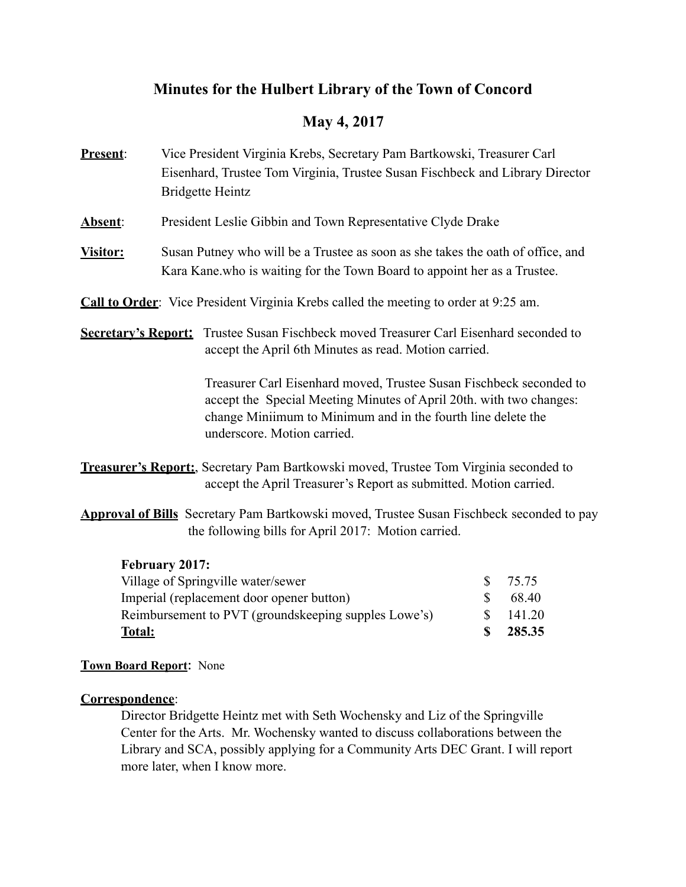# **Minutes for the Hulbert Library of the Town of Concord**

# **May 4, 2017**

- **Present**: Vice President Virginia Krebs, Secretary Pam Bartkowski, Treasurer Carl Eisenhard, Trustee Tom Virginia, Trustee Susan Fischbeck and Library Director Bridgette Heintz
- **Absent**: President Leslie Gibbin and Town Representative Clyde Drake
- **Visitor:** Susan Putney who will be a Trustee as soon as she takes the oath of office, and Kara Kane.who is waiting for the Town Board to appoint her as a Trustee.
- **Call to Order**: Vice President Virginia Krebs called the meeting to order at 9:25 am.
- **Secretary's Report:** Trustee Susan Fischbeck moved Treasurer Carl Eisenhard seconded to accept the April 6th Minutes as read. Motion carried.

 Treasurer Carl Eisenhard moved, Trustee Susan Fischbeck seconded to accept the Special Meeting Minutes of April 20th. with two changes: change Miniimum to Minimum and in the fourth line delete the underscore. Motion carried.

- **Treasurer's Report:**, Secretary Pam Bartkowski moved, Trustee Tom Virginia seconded to accept the April Treasurer's Report as submitted. Motion carried.
- **Approval of Bills** Secretary Pam Bartkowski moved, Trustee Susan Fischbeck seconded to pay the following bills for April 2017: Motion carried.

## **February 2017:**

| Village of Springville water/sewer                   | $\mathcal{S}$ | 75.75  |
|------------------------------------------------------|---------------|--------|
| Imperial (replacement door opener button)            |               | 68.40  |
| Reimbursement to PVT (groundskeeping supples Lowe's) |               | 141.20 |
| <b>Total:</b>                                        | Ж.            | 285.35 |

## **Town Board Report**: None

## **Correspondence**:

 Director Bridgette Heintz met with Seth Wochensky and Liz of the Springville Center for the Arts. Mr. Wochensky wanted to discuss collaborations between the Library and SCA, possibly applying for a Community Arts DEC Grant. I will report more later, when I know more.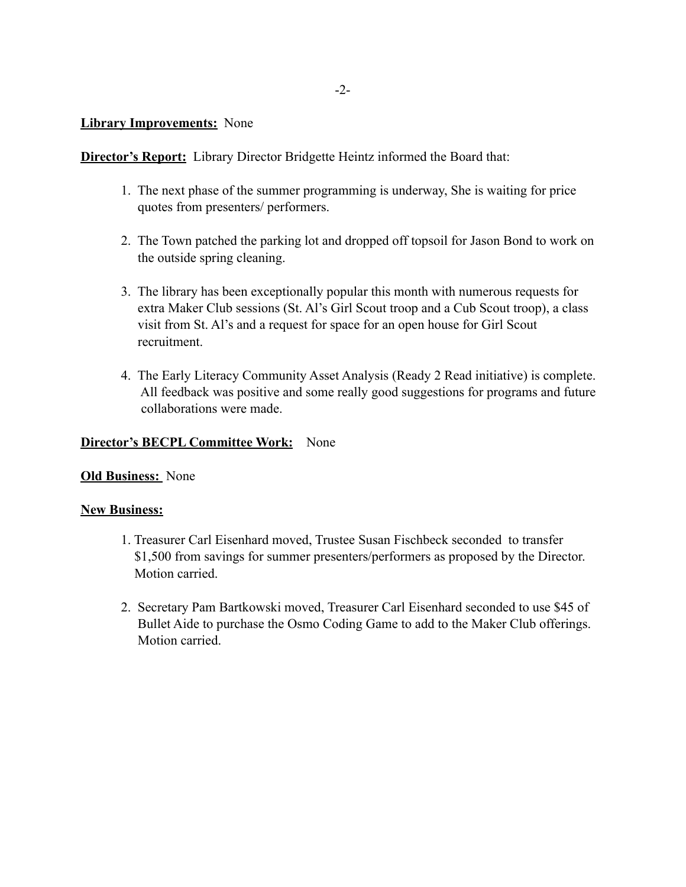#### **Library Improvements:** None

**Director's Report:** Library Director Bridgette Heintz informed the Board that:

- 1. The next phase of the summer programming is underway, She is waiting for price quotes from presenters/ performers.
- 2. The Town patched the parking lot and dropped off topsoil for Jason Bond to work on the outside spring cleaning.
- 3. The library has been exceptionally popular this month with numerous requests for extra Maker Club sessions (St. Al's Girl Scout troop and a Cub Scout troop), a class visit from St. Al's and a request for space for an open house for Girl Scout recruitment.
- 4. The Early Literacy Community Asset Analysis (Ready 2 Read initiative) is complete. All feedback was positive and some really good suggestions for programs and future collaborations were made.

#### **Director's BECPL Committee Work:** None

#### **Old Business:** None

#### **New Business:**

- 1. Treasurer Carl Eisenhard moved, Trustee Susan Fischbeck seconded to transfer \$1,500 from savings for summer presenters/performers as proposed by the Director. Motion carried.
- 2. Secretary Pam Bartkowski moved, Treasurer Carl Eisenhard seconded to use \$45 of Bullet Aide to purchase the Osmo Coding Game to add to the Maker Club offerings. Motion carried.